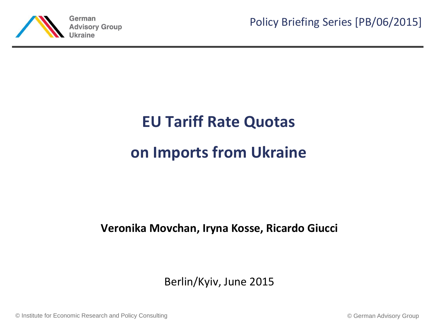

Policy Briefing Series [PB/06/2015]

# **EU Tariff Rate Quotas on Imports from Ukraine**

#### **Veronika Movchan, Iryna Kosse, Ricardo Giucci**

### Berlin/Kyiv, June 2015

© Institute for Economic Research and Policy Consulting © German Advisory Group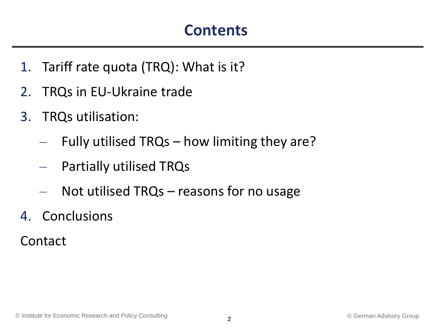### **Contents**

- 1. Tariff rate quota (TRQ): What is it?
- 2. TRQs in EU-Ukraine trade
- 3. TRQs utilisation:
	- Fully utilised TRQs how limiting they are?
	- Partially utilised TRQs
	- Not utilised  $TRQs$  reasons for no usage
- 4. Conclusions
- Contact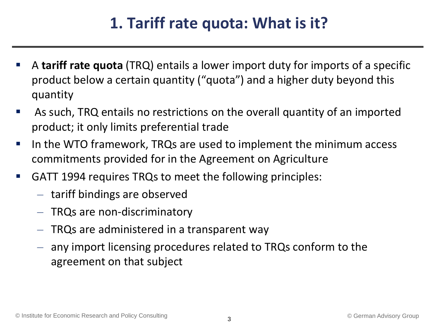### **1. Tariff rate quota: What is it?**

- A **tariff rate quota** (TRQ) entails a lower import duty for imports of a specific product below a certain quantity ("quota") and a higher duty beyond this quantity
- As such, TRQ entails no restrictions on the overall quantity of an imported product; it only limits preferential trade
- I In the WTO framework, TRQs are used to implement the minimum access commitments provided for in the Agreement on Agriculture
- GATT 1994 requires TRQs to meet the following principles:
	- tariff bindings are observed
	- TRQs are non-discriminatory
	- $-$  TRQs are administered in a transparent way
	- any import licensing procedures related to TRQs conform to the agreement on that subject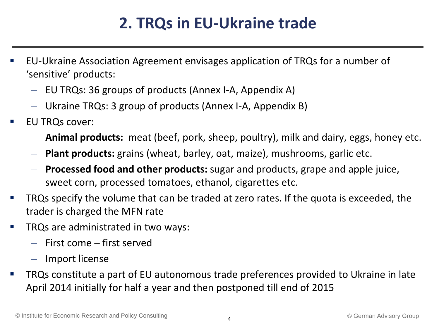### **2. TRQs in EU-Ukraine trade**

- EU-Ukraine Association Agreement envisages application of TRQs for a number of 'sensitive' products:
	- EU TRQs: 36 groups of products (Annex I-A, Appendix A)
	- Ukraine TRQs: 3 group of products (Annex I-A, Appendix B)
- EU TRQs cover:
	- **Animal products:** meat (beef, pork, sheep, poultry), milk and dairy, eggs, honey etc.
	- **Plant products:** grains (wheat, barley, oat, maize), mushrooms, garlic etc.
	- **Processed food and other products:** sugar and products, grape and apple juice, sweet corn, processed tomatoes, ethanol, cigarettes etc.
- TRQs specify the volume that can be traded at zero rates. If the quota is exceeded, the trader is charged the MFN rate
- TRQs are administrated in two ways:
	- First come first served
	- Import license
- TRQs constitute a part of EU autonomous trade preferences provided to Ukraine in late April 2014 initially for half a year and then postponed till end of 2015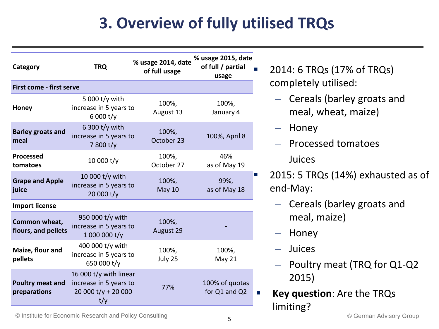# **3. Overview of fully utilised TRQs**

| Category                                | <b>TRQ</b>                                                                      | % usage 2014, date<br>of full usage | % usage 2015, date<br>of full / partial<br>usage |
|-----------------------------------------|---------------------------------------------------------------------------------|-------------------------------------|--------------------------------------------------|
| First come - first serve                |                                                                                 |                                     |                                                  |
| <b>Honey</b>                            | 5 000 t/y with<br>increase in 5 years to<br>6000 t/y                            | 100%,<br>August 13                  | 100%,<br>January 4                               |
| <b>Barley groats and</b><br>meal        | 6 300 t/y with<br>increase in 5 years to<br>7800 t/y                            | 100%,<br>October 23                 | 100%, April 8                                    |
| <b>Processed</b><br>tomatoes            | 10 000 t/y                                                                      | 100%,<br>October 27                 | 46%<br>as of May 19                              |
| <b>Grape and Apple</b><br>juice         | 10 000 t/y with<br>increase in 5 years to<br>20 000 t/y                         | 100%,<br><b>May 10</b>              | 99%,<br>as of May 18                             |
| <b>Import license</b>                   |                                                                                 |                                     |                                                  |
| Common wheat,<br>flours, and pellets    | 950 000 t/y with<br>increase in 5 years to<br>1 000 000 t/y                     | 100%,<br>August 29                  |                                                  |
| Maize, flour and<br>pellets             | 400 000 t/y with<br>increase in 5 years to<br>650 000 t/y                       | 100%,<br>July 25                    | 100%,<br><b>May 21</b>                           |
| <b>Poultry meat and</b><br>preparations | 16 000 t/y with linear<br>increase in 5 years to<br>20 000 $t/y + 20000$<br>t/y | 77%                                 | 100% of quotas<br>for Q1 and Q2                  |

- 2014: 6 TRQs (17% of TRQs) completely utilised:
	- Cereals (barley groats and meal, wheat, maize)
	- Honey
	- Processed tomatoes
	- Juices
- 2015: 5 TRQs (14%) exhausted as of end-May:
	- Cereals (barley groats and meal, maize)
	- Honey
	- Juices
	- Poultry meat (TRQ for Q1-Q2 2015)
- **Key question**: Are the TRQs limiting?

© Institute for Economic Research and Policy Consulting © German Advisory Group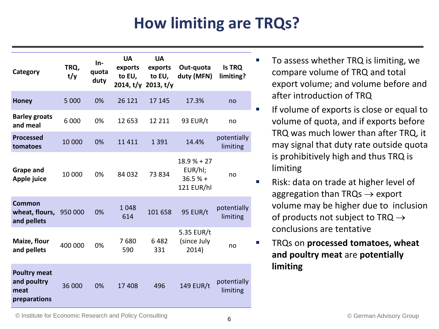# **How limiting are TRQs?**

| Category                                                   | TRQ,<br>t/y | $In-$<br>quota<br>duty | <b>UA</b><br>exports<br>to EU, | <b>UA</b><br>exports<br>to EU,<br>2014, t/y 2013, t/y | Out-quota<br>duty (MFN)                            | <b>Is TRQ</b><br>limiting? |
|------------------------------------------------------------|-------------|------------------------|--------------------------------|-------------------------------------------------------|----------------------------------------------------|----------------------------|
| <b>Honey</b>                                               | 5 0 0 0     | 0%                     | 26 121                         | 17 145                                                | 17.3%                                              | no                         |
| <b>Barley groats</b><br>and meal                           | 6 0 0 0     | 0%                     | 12 653                         | 12 211                                                | 93 EUR/t                                           | no                         |
| <b>Processed</b><br>tomatoes                               | 10 000      | 0%                     | 11 4 11                        | 1 3 9 1                                               | 14.4%                                              | potentially<br>limiting    |
| <b>Grape and</b><br>Apple juice                            | 10 000      | 0%                     | 84 032                         | 73834                                                 | $18.9% + 27$<br>EUR/hl;<br>$36.5%$ +<br>121 EUR/hl | no                         |
| Common<br>wheat, flours, 950 000<br>and pellets            |             | 0%                     | 1 0 4 8<br>614                 | 101 658                                               | <b>95 EUR/t</b>                                    | potentially<br>limiting    |
| Maize, flour<br>and pellets                                | 400 000     | 0%                     | 7680<br>590                    | 6482<br>331                                           | 5.35 EUR/t<br>(since July<br>2014)                 | no                         |
| <b>Poultry meat</b><br>and poultry<br>meat<br>preparations | 36 000      | 0%                     | 17 408                         | 496                                                   | <b>149 EUR/t</b>                                   | potentially<br>limiting    |

- $\blacksquare$  To assess whether TRQ is limiting, we compare volume of TRQ and total export volume; and volume before and after introduction of TRQ
- If volume of exports is close or equal to volume of quota, and if exports before TRQ was much lower than after TRQ, it may signal that duty rate outside quota is prohibitively high and thus TRQ is limiting
- **Risk: data on trade at higher level of** aggregation than TRQs  $\rightarrow$  export volume may be higher due to inclusion of products not subject to TRQ  $\rightarrow$ conclusions are tentative
- **TRQs on processed tomatoes, wheat and poultry meat** are **potentially limiting**

© Institute for Economic Research and Policy Consulting © German Advisory Group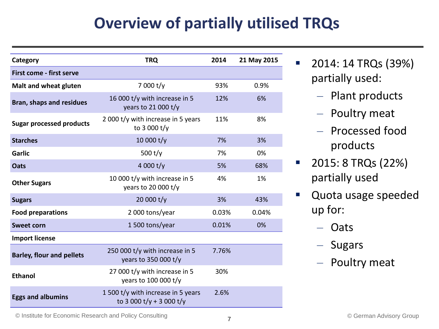## **Overview of partially utilised TRQs**

| Category                         | <b>TRQ</b>                                                    | 2014  | 21 May 2015 |
|----------------------------------|---------------------------------------------------------------|-------|-------------|
| First come - first serve         |                                                               |       |             |
| Malt and wheat gluten            | 7 000 t/y                                                     | 93%   | 0.9%        |
| <b>Bran, shaps and residues</b>  | 16 000 t/y with increase in 5<br>years to 21 000 $t/y$        | 12%   | 6%          |
| <b>Sugar processed products</b>  | 2 000 t/y with increase in 5 years<br>to 3 000 t/y            | 11%   | 8%          |
| <b>Starches</b>                  | 10 000 t/y                                                    | 7%    | 3%          |
| <b>Garlic</b>                    | 500 $t/y$                                                     | 7%    | 0%          |
| <b>Oats</b>                      | 4 000 $t/y$                                                   | 5%    | 68%         |
| <b>Other Sugars</b>              | 10 000 t/y with increase in 5<br>years to 20 000 t/y          | 4%    | 1%          |
| <b>Sugars</b>                    | 20 000 t/y                                                    | 3%    | 43%         |
| <b>Food preparations</b>         | 2 000 tons/year                                               | 0.03% | 0.04%       |
| <b>Sweet corn</b>                | 1500 tons/year                                                | 0.01% | 0%          |
| <b>Import license</b>            |                                                               |       |             |
| <b>Barley, flour and pellets</b> | 250 000 t/y with increase in 5<br>years to 350 000 t/y        | 7.76% |             |
| <b>Ethanol</b>                   | 27 000 t/y with increase in 5<br>years to 100 000 t/y         | 30%   |             |
| <b>Eggs and albumins</b>         | 1500 t/y with increase in 5 years<br>to 3 000 t/y + 3 000 t/y | 2.6%  |             |

- $\blacksquare$  2014: 14 TRQs (39%) partially used:
	- Plant products
	- Poultry meat
	- Processed food products
- $\blacksquare$  2015: 8 TRQs (22%) partially used
- Quota usage speeded up for:
	- Oats
	- Sugars
	- Poultry meat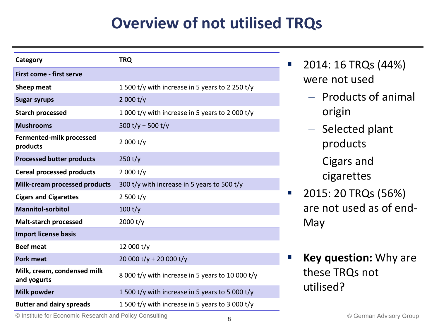## **Overview of not utilised TRQs**

| Category                                    | <b>TRQ</b>                                       |
|---------------------------------------------|--------------------------------------------------|
| First come - first serve                    |                                                  |
| Sheep meat                                  | 1 500 t/y with increase in 5 years to 2 250 t/y  |
| <b>Sugar syrups</b>                         | 2 000 $t/y$                                      |
| <b>Starch processed</b>                     | 1 000 t/y with increase in 5 years to 2 000 t/y  |
| <b>Mushrooms</b>                            | 500 t/y + 500 t/y                                |
| <b>Fermented-milk processed</b><br>products | 2000 t/y                                         |
| <b>Processed butter products</b>            | 250 t/y                                          |
| <b>Cereal processed products</b>            | 2 000 $t/y$                                      |
| <b>Milk-cream processed products</b>        | 300 t/y with increase in 5 years to 500 t/y      |
| <b>Cigars and Cigarettes</b>                | 2 500 $t/y$                                      |
| <b>Mannitol-sorbitol</b>                    | 100 t/y                                          |
| <b>Malt-starch processed</b>                | 2000 t/y                                         |
| <b>Import license basis</b>                 |                                                  |
| <b>Beef meat</b>                            | 12 000 t/y                                       |
| <b>Pork meat</b>                            | 20 000 t/y + 20 000 t/y                          |
| Milk, cream, condensed milk<br>and yogurts  | 8 000 t/y with increase in 5 years to 10 000 t/y |
| Milk powder                                 | 1 500 t/y with increase in 5 years to 5 000 t/y  |
| <b>Butter and dairy spreads</b>             | 1 500 t/y with increase in 5 years to 3 000 t/y  |

- $\blacksquare$  2014: 16 TRQs (44%) were not used
	- Products of animal origin
	- Selected plant products
	- Cigars and cigarettes
- **2015: 20 TRQs (56%)** are not used as of end-May
- **Key question:** Why are these TRQs not utilised?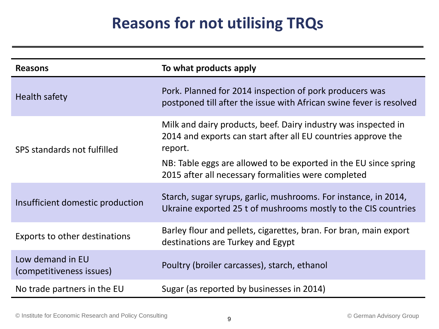## **Reasons for not utilising TRQs**

| <b>Reasons</b>                               | To what products apply                                                                                                                                                                                                                                                |
|----------------------------------------------|-----------------------------------------------------------------------------------------------------------------------------------------------------------------------------------------------------------------------------------------------------------------------|
| Health safety                                | Pork. Planned for 2014 inspection of pork producers was<br>postponed till after the issue with African swine fever is resolved                                                                                                                                        |
| SPS standards not fulfilled                  | Milk and dairy products, beef. Dairy industry was inspected in<br>2014 and exports can start after all EU countries approve the<br>report.<br>NB: Table eggs are allowed to be exported in the EU since spring<br>2015 after all necessary formalities were completed |
| Insufficient domestic production             | Starch, sugar syrups, garlic, mushrooms. For instance, in 2014,<br>Ukraine exported 25 t of mushrooms mostly to the CIS countries                                                                                                                                     |
| Exports to other destinations                | Barley flour and pellets, cigarettes, bran. For bran, main export<br>destinations are Turkey and Egypt                                                                                                                                                                |
| Low demand in EU<br>(competitiveness issues) | Poultry (broiler carcasses), starch, ethanol                                                                                                                                                                                                                          |
| No trade partners in the EU                  | Sugar (as reported by businesses in 2014)                                                                                                                                                                                                                             |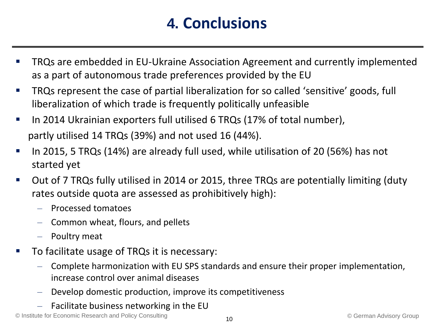### **4. Conclusions**

- TRQs are embedded in EU-Ukraine Association Agreement and currently implemented as a part of autonomous trade preferences provided by the EU
- **TROs represent the case of partial liberalization for so called 'sensitive' goods, full** liberalization of which trade is frequently politically unfeasible
- In 2014 Ukrainian exporters full utilised 6 TRQs (17% of total number), partly utilised 14 TRQs (39%) and not used 16 (44%).
- In 2015, 5 TRQs (14%) are already full used, while utilisation of 20 (56%) has not started yet
- Out of 7 TRQs fully utilised in 2014 or 2015, three TRQs are potentially limiting (duty rates outside quota are assessed as prohibitively high):
	- Processed tomatoes
	- Common wheat, flours, and pellets
	- Poultry meat
- To facilitate usage of TRQs it is necessary:
	- Complete harmonization with EU SPS standards and ensure their proper implementation, increase control over animal diseases
	- Develop domestic production, improve its competitiveness
	- Facilitate business networking in the EU